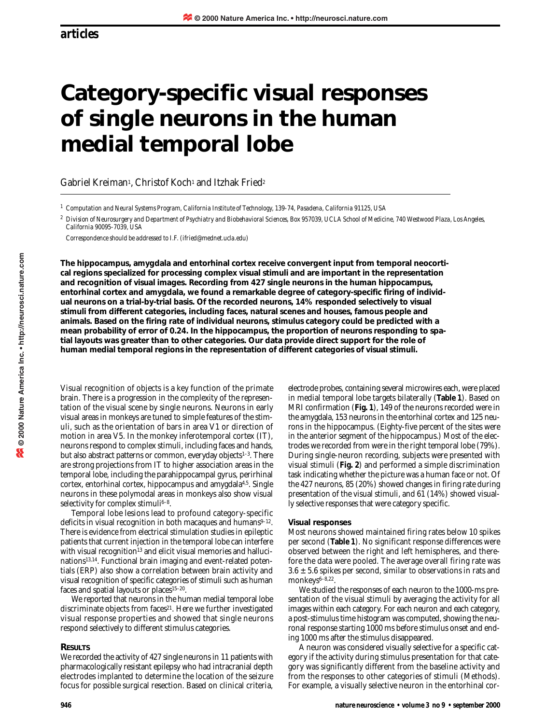# **Category-specific visual responses of single neurons in the human medial temporal lobe**

Gabriel Kreiman<sup>1</sup>, Christof Koch<sup>1</sup> and Itzhak Fried<sup>2</sup>

*<sup>1</sup> Computation and Neural Systems Program, California Institute of Technology, 139-74, Pasadena, California 91125, USA*

*<sup>2</sup> Division of Neurosurgery and Department of Psychiatry and Biobehavioral Sciences, Box 957039, UCLA School of Medicine, 740 Westwood Plaza, Los Angeles, California 90095-7039, USA*

*Correspondence should be addressed to I.F. (ifried@mednet.ucla.edu)*

**The hippocampus, amygdala and entorhinal cortex receive convergent input from temporal neocortical regions specialized for processing complex visual stimuli and are important in the representation and recognition of visual images. Recording from 427 single neurons in the human hippocampus, entorhinal cortex and amygdala, we found a remarkable degree of category-specific firing of individual neurons on a trial-by-trial basis. Of the recorded neurons, 14% responded selectively to visual stimuli from different categories, including faces, natural scenes and houses, famous people and animals. Based on the firing rate of individual neurons, stimulus category could be predicted with a mean probability of error of 0.24. In the hippocampus, the proportion of neurons responding to spatial layouts was greater than to other categories. Our data provide direct support for the role of human medial temporal regions in the representation of different categories of visual stimuli.**

Visual recognition of objects is a key function of the primate brain. There is a progression in the complexity of the representation of the visual scene by single neurons. Neurons in early visual areas in monkeys are tuned to simple features of the stimuli, such as the orientation of bars in area V1 or direction of motion in area V5. In the monkey inferotemporal cortex (IT), neurons respond to complex stimuli, including faces and hands, but also abstract patterns or common, everyday objects<sup>1-3</sup>. There are strong projections from IT to higher association areas in the temporal lobe, including the parahippocampal gyrus, perirhinal cortex, entorhinal cortex, hippocampus and amygdala4,5. Single neurons in these polymodal areas in monkeys also show visual selectivity for complex stimuli<sup>6–8</sup>.

Temporal lobe lesions lead to profound category-specific deficits in visual recognition in both macaques and humans $9-12$ . There is evidence from electrical stimulation studies in epileptic patients that current injection in the temporal lobe can interfere with visual recognition<sup>13</sup> and elicit visual memories and hallucinations13,14. Functional brain imaging and event-related potentials (ERP) also show a correlation between brain activity and visual recognition of specific categories of stimuli such as human faces and spatial layouts or places<sup>15-20</sup>.

We reported that neurons in the human medial temporal lobe discriminate objects from faces<sup>21</sup>. Here we further investigated visual response properties and showed that single neurons respond selectively to different stimulus categories.

## **RESULTS**

We recorded the activity of 427 single neurons in 11 patients with pharmacologically resistant epilepsy who had intracranial depth electrodes implanted to determine the location of the seizure focus for possible surgical resection. Based on clinical criteria,

electrode probes, containing several microwires each, were placed in medial temporal lobe targets bilaterally (**Table 1**). Based on MRI confirmation (**Fig. 1**), 149 of the neurons recorded were in the amygdala, 153 neurons in the entorhinal cortex and 125 neurons in the hippocampus. (Eighty-five percent of the sites were in the anterior segment of the hippocampus.) Most of the electrodes we recorded from were in the right temporal lobe (79%). During single-neuron recording, subjects were presented with visual stimuli (**Fig. 2**) and performed a simple discrimination task indicating whether the picture was a human face or not. Of the 427 neurons, 85 (20%) showed changes in firing rate during presentation of the visual stimuli, and 61 (14%) showed visually selective responses that were category specific.

## **Visual responses**

Most neurons showed maintained firing rates below 10 spikes per second (**Table 1**). No significant response differences were observed between the right and left hemispheres, and therefore the data were pooled. The average overall firing rate was  $3.6 \pm 5.6$  spikes per second, similar to observations in rats and monkeys6-8,22.

We studied the responses of each neuron to the 1000-ms presentation of the visual stimuli by averaging the activity for all images within each category. For each neuron and each category, a post-stimulus time histogram was computed, showing the neuronal response starting 1000 ms before stimulus onset and ending 1000 ms after the stimulus disappeared.

A neuron was considered visually selective for a specific category if the activity during stimulus presentation for that category was significantly different from the baseline activity and from the responses to other categories of stimuli (Methods). For example, a visually selective neuron in the entorhinal cor-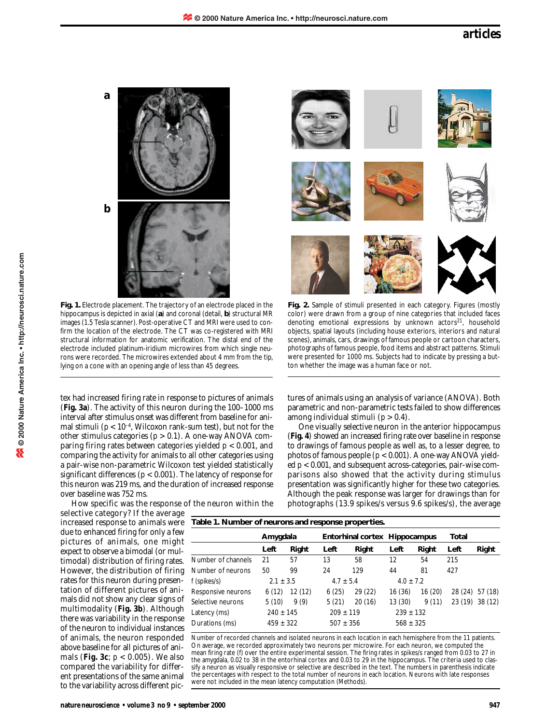

**Fig. 1.** Electrode placement. The trajectory of an electrode placed in the hippocampus is depicted in axial (**a**) and coronal (detail, **b**) structural MR images (1.5 Tesla scanner). Post-operative CT and MRI were used to confirm the location of the electrode. The CT was co-registered with MRI structural information for anatomic verification. The distal end of the electrode included platinum-iridium microwires from which single neurons were recorded. The microwires extended about 4 mm from the tip, lying on a cone with an opening angle of less than 45 degrees.

tex had increased firing rate in response to pictures of animals (**Fig. 3a**). The activity of this neuron during the 100–1000 ms interval after stimulus onset was different from baseline for animal stimuli ( $p < 10^{-4}$ , Wilcoxon rank-sum test), but not for the other stimulus categories ( $p > 0.1$ ). A one-way ANOVA comparing firing rates between categories yielded *p* < 0.001, and comparing the activity for animals to all other categories using a pair-wise non-parametric Wilcoxon test yielded statistically significant differences (*p* < 0.001). The latency of response for this neuron was 219 ms, and the duration of increased response over baseline was 752 ms.

How specific was the response of the neuron within the

selective category? If the average increased response to animals were due to enhanced firing for only a few pictures of animals, one might expect to observe a bimodal (or multimodal) distribution of firing rates. However, the distribution of firing rates for this neuron during presentation of different pictures of animals did not show any clear signs of multimodality (**Fig. 3b**). Although there was variability in the response of the neuron to individual instances of animals, the neuron responded above baseline for all pictures of animals (**Fig. 3c**; *p* < 0.005). We also compared the variability for different presentations of the same animal to the variability across different picscenes), animals, cars, drawings of famous people or cartoon characters, photographs of famous people, food items and abstract patterns. Stimuli were presented for 1000 ms. Subjects had to indicate by pressing a button whether the image was a human face or not.

**Fig. 2.** Sample of stimuli presented in each category. Figures (mostly color) were drawn from a group of nine categories that included faces denoting emotional expressions by unknown actors<sup>21</sup>, household objects, spatial layouts (including house exteriors, interiors and natural

tures of animals using an analysis of variance (ANOVA). Both parametric and non-parametric tests failed to show differences among individual stimuli (*p* > 0.4).

One visually selective neuron in the anterior hippocampus (**Fig. 4**) showed an increased firing rate over baseline in response to drawings of famous people as well as, to a lesser degree, to photos of famous people (*p* < 0.001). A one-way ANOVA yielded *p* < 0.001, and subsequent across-categories, pair-wise comparisons also showed that the activity during stimulus presentation was significantly higher for these two categories. Although the peak response was larger for drawings than for photographs (13.9 spikes/s versus 9.6 spikes/s), the average

| <u>1991 - Francesco Theorem and Fesponse properties.</u> |               |         |                               |         |               |        |                 |         |
|----------------------------------------------------------|---------------|---------|-------------------------------|---------|---------------|--------|-----------------|---------|
|                                                          | Amygdala      |         | Entorhinal cortex Hippocampus |         |               |        | Total           |         |
|                                                          | Left          | Right   | Left                          | Right   | Left          | Right  | Left            | Right   |
| Number of channels                                       | 21            | 57      | 13                            | 58      | 12            | 54     | 215             |         |
| Number of neurons                                        | 50            | 99      | 24                            | 129     | 44            | 81     | 427             |         |
| f (spikes/s)                                             | $2.1 \pm 3.5$ |         | $4.7 \pm 5.4$                 |         | $4.0 \pm 7.2$ |        |                 |         |
| Responsive neurons                                       | 6(12)         | 12 (12) | 6(25)                         | 29 (22) | 16(36)        | 16(20) | 28 (24)         | 57 (18) |
| Selective neurons                                        | 5(10)         | 9(9)    | 5(21)                         | 20(16)  | 13(30)        | 9(11)  | 23 (19) 38 (12) |         |
| Latency (ms)                                             | $240 \pm 145$ |         | $209 \pm 119$                 |         | $239 \pm 132$ |        |                 |         |
| Durations (ms)                                           | $459 \pm 322$ |         | $507 \pm 356$                 |         | $568 \pm 325$ |        |                 |         |
|                                                          |               |         |                               |         |               |        |                 |         |

**Table 1. Number of neurons and response properties.**

Number of recorded channels and isolated neurons in each location in each hemisphere from the 11 patients. On average, we recorded approximately two neurons per microwire. For each neuron, we computed the mean firing rate (*f*) over the entire experimental session. The firing rates in spikes/s ranged from 0.03 to 27 in the amygdala, 0.02 to 38 in the entorhinal cortex and 0.03 to 29 in the hippocampus. The criteria used to classify a neuron as visually responsive or selective are described in the text. The numbers in parenthesis indicate the percentages with respect to the total number of neurons in each location. Neurons with late responses were not included in the mean latency computation (Methods).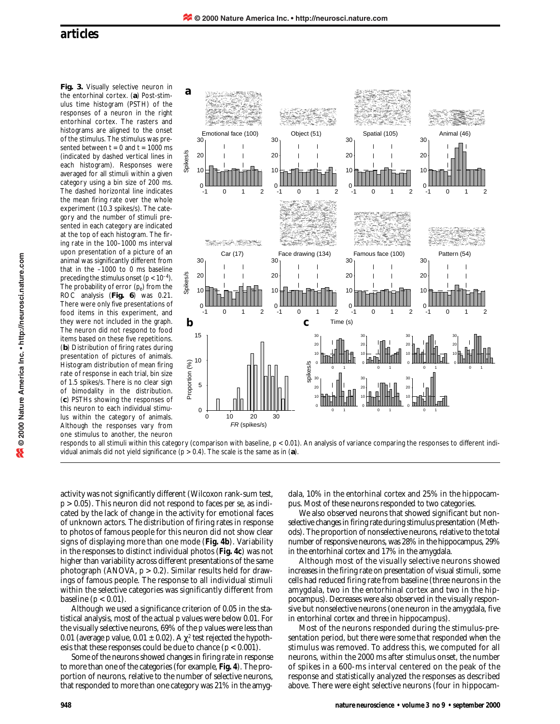**Fig. 3.** Visually selective neuron in the entorhinal cortex. (**a**) Post-stimulus time histogram (PSTH) of the responses of a neuron in the right entorhinal cortex. The rasters and histograms are aligned to the onset of the stimulus. The stimulus was presented between  $t = 0$  and  $t = 1000$  ms (indicated by dashed vertical lines in each histogram). Responses were averaged for all stimuli within a given category using a bin size of 200 ms. The dashed horizontal line indicates the mean firing rate over the whole experiment (10.3 spikes/s). The category and the number of stimuli presented in each category are indicated at the top of each histogram. The firing rate in the 100–1000 ms interval upon presentation of a picture of an animal was significantly different from that in the –1000 to 0 ms baseline preceding the stimulus onset  $(p < 10^{-4})$ . The probability of error ( $p_e$ ) from the ROC analysis (**Fig. 6**) was 0.21. There were only five presentations of food items in this experiment, and they were not included in the graph. The neuron did not respond to food items based on these five repetitions. (**b**) Distribution of firing rates during presentation of pictures of animals. Histogram distribution of mean firing rate of response in each trial, bin size of 1.5 spikes/s. There is no clear sign of bimodality in the distribution. (**c**) PSTHs showing the responses of this neuron to each individual stimulus within the category of animals. Although the responses vary from one stimulus to another, the neuron



responds to all stimuli within this category (comparison with baseline, *p* < 0.01). An analysis of variance comparing the responses to different individual animals did not yield significance (*p* > 0.4). The scale is the same as in (**a**).

activity was not significantly different (Wilcoxon rank-sum test, *p* > 0.05). This neuron did not respond to faces *per se*, as indicated by the lack of change in the activity for emotional faces of unknown actors. The distribution of firing rates in response to photos of famous people for this neuron did not show clear signs of displaying more than one mode (**Fig. 4b**). Variability in the responses to distinct individual photos (**Fig. 4c**) was not higher than variability across different presentations of the same photograph (ANOVA, *p* > 0.2). Similar results held for drawings of famous people. The response to all individual stimuli within the selective categories was significantly different from baseline  $(p < 0.01)$ .

Although we used a significance criterion of 0.05 in the statistical analysis, most of the actual *p* values were below 0.01. For the visually selective neurons, 69% of the *p* values were less than 0.01 (average *p* value,  $0.01 \pm 0.02$ ). A  $\chi^2$  test rejected the hypothesis that these responses could be due to chance  $(p < 0.001)$ .

Some of the neurons showed changes in firing rate in response to more than one of the categories (for example, **Fig. 4**). The proportion of neurons, relative to the number of selective neurons, that responded to more than one category was 21% in the amygdala, 10% in the entorhinal cortex and 25% in the hippocampus. Most of these neurons responded to two categories.

We also observed neurons that showed significant but nonselective changes in firing rate during stimulus presentation (Methods). The proportion of nonselective neurons, relative to the total number of responsive neurons, was 28% in the hippocampus, 29% in the entorhinal cortex and 17% in the amygdala.

Although most of the visually selective neurons showed increases in the firing rate on presentation of visual stimuli, some cells had reduced firing rate from baseline (three neurons in the amygdala, two in the entorhinal cortex and two in the hippocampus). Decreases were also observed in the visually responsive but nonselective neurons (one neuron in the amygdala, five in entorhinal cortex and three in hippocampus).

Most of the neurons responded during the stimulus-presentation period, but there were some that responded when the stimulus was removed. To address this, we computed for all neurons, within the 2000 ms after stimulus onset, the number of spikes in a 600-ms interval centered on the peak of the response and statistically analyzed the responses as described above. There were eight selective neurons (four in hippocam-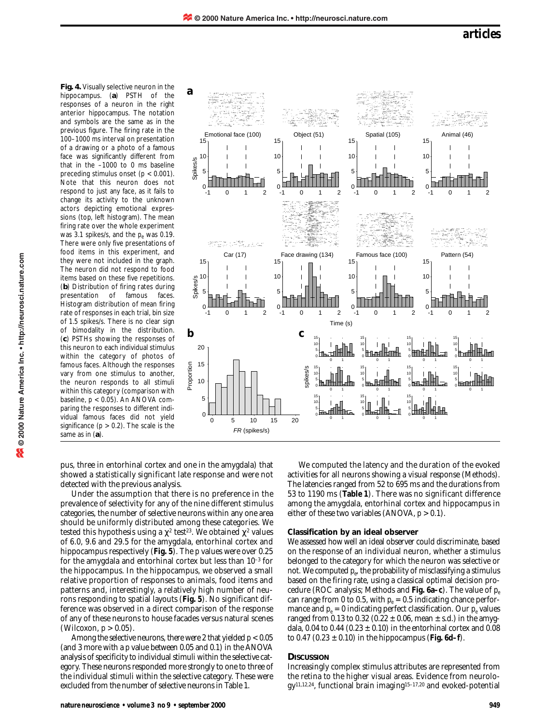**Fig. 4.** Visually selective neuron in the hippocampus. (**a**) PSTH of the responses of a neuron in the right anterior hippocampus. The notation and symbols are the same as in the previous figure. The firing rate in the 100–1000 ms interval on presentation of a drawing or a photo of a famous face was significantly different from that in the –1000 to 0 ms baseline preceding stimulus onset (*p* < 0.001). Note that this neuron does not respond to just any face, as it fails to change its activity to the unknown actors depicting emotional expressions (top, left histogram). The mean firing rate over the whole experiment was 3.1 spikes/s, and the  $p_e$  was 0.19. There were only five presentations of food items in this experiment, and they were not included in the graph. The neuron did not respond to food items based on these five repetitions. (**b**) Distribution of firing rates during presentation of famous faces. Histogram distribution of mean firing rate of responses in each trial, bin size of 1.5 spikes/s. There is no clear sign of bimodality in the distribution. (**c**) PSTHs showing the responses of this neuron to each individual stimulus within the category of photos of famous faces. Although the responses vary from one stimulus to another, the neuron responds to all stimuli within this category (comparison with baseline, *p* < 0.05). An ANOVA comparing the responses to different individual famous faces did not yield significance  $(p > 0.2)$ . The scale is the same as in (**a**).



pus, three in entorhinal cortex and one in the amygdala) that showed a statistically significant late response and were not detected with the previous analysis.

Under the assumption that there is no preference in the prevalence of selectivity for any of the nine different stimulus categories, the number of selective neurons within any one area should be uniformly distributed among these categories. We tested this hypothesis using a  $\chi^2$  test<sup>23</sup>. We obtained  $\chi^2$  values of 6.0, 9.6 and 29.5 for the amygdala, entorhinal cortex and hippocampus respectively (**Fig. 5**). The *p* values were over 0.25 for the amygdala and entorhinal cortex but less than 10–3 for the hippocampus. In the hippocampus, we observed a small relative proportion of responses to animals, food items and patterns and, interestingly, a relatively high number of neurons responding to spatial layouts (**Fig. 5**). No significant difference was observed in a direct comparison of the response of any of these neurons to house facades versus natural scenes (Wilcoxon, *p* > 0.05).

Among the selective neurons, there were 2 that yielded  $p < 0.05$ (and 3 more with a *p* value between 0.05 and 0.1) in the ANOVA analysis of specificity to individual stimuli within the selective category. These neurons responded more strongly to one to three of the individual stimuli within the selective category. These were excluded from the number of selective neurons in Table 1.

We computed the latency and the duration of the evoked activities for all neurons showing a visual response (Methods). The latencies ranged from 52 to 695 ms and the durations from 53 to 1190 ms (**Table 1**). There was no significant difference among the amygdala, entorhinal cortex and hippocampus in either of these two variables (ANOVA,  $p > 0.1$ ).

## **Classification by an ideal observer**

We assessed how well an ideal observer could discriminate, based on the response of an individual neuron, whether a stimulus belonged to the category for which the neuron was selective or not. We computed *pe*, the probability of misclassifying a stimulus based on the firing rate, using a classical optimal decision procedure (ROC analysis; Methods and **Fig. 6a–c**). The value of *pe* can range from 0 to 0.5, with  $p_e = 0.5$  indicating chance performance and  $p_e = 0$  indicating perfect classification. Our  $p_e$  values ranged from 0.13 to 0.32 (0.22  $\pm$  0.06, mean  $\pm$  s.d.) in the amygdala, 0.04 to 0.44 (0.23  $\pm$  0.10) in the entorhinal cortex and 0.08 to 0.47 (0.23 ± 0.10) in the hippocampus (**Fig. 6d–f**).

## **DISCUSSION**

Increasingly complex stimulus attributes are represented from the retina to the higher visual areas. Evidence from neurology11,12,24, functional brain imaging15–17,20 and evoked-potential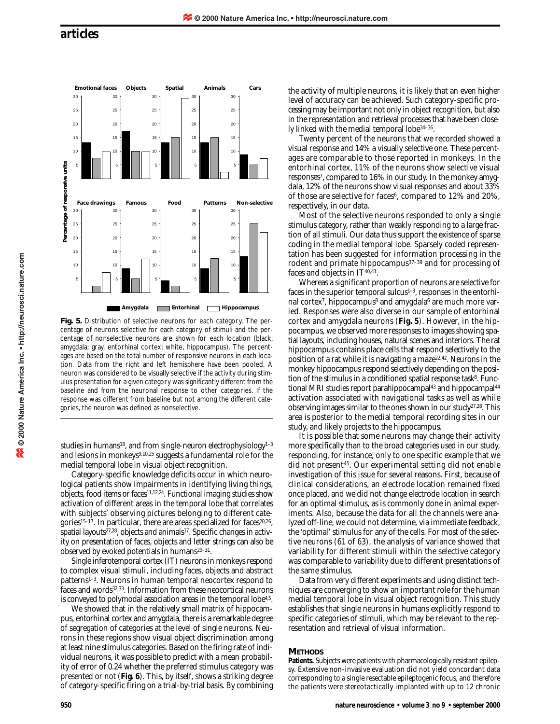

**Fig. 5.** Distribution of selective neurons for each category. The percentage of neurons selective for each category of stimuli and the percentage of nonselective neurons are shown for each location (black, amygdala; gray, entorhinal cortex; white, hippocampus). The percentages are based on the total number of responsive neurons in each location. Data from the right and left hemisphere have been pooled. A neuron was considered to be visually selective if the activity during stimulus presentation for a given category was significantly different from the baseline and from the neuronal response to other categories. If the response was different from baseline but not among the different categories, the neuron was defined as nonselective.

studies in humans<sup>18</sup>, and from single-neuron electrophysiology<sup>1-3</sup> and lesions in monkeys<sup>9,10,25</sup> suggests a fundamental role for the medial temporal lobe in visual object recognition.

Category-specific knowledge deficits occur in which neurological patients show impairments in identifying living things, objects, food items or faces<sup>11,12,24</sup>. Functional imaging studies show activation of different areas in the temporal lobe that correlates with subjects' observing pictures belonging to different categories<sup>15-17</sup>. In particular, there are areas specialized for faces<sup>20,26</sup>, spatial layouts<sup>27,28</sup>, objects and animals<sup>17</sup>. Specific changes in activity on presentation of faces, objects and letter strings can also be observed by evoked potentials in humans<sup>29-31</sup>.

Single inferotemporal cortex (IT) neurons in monkeys respond to complex visual stimuli, including faces, objects and abstract patterns1–3. Neurons in human temporal neocortex respond to faces and words<sup>32,33</sup>. Information from these neocortical neurons is conveyed to polymodal association areas in the temporal lobe<sup>4,5</sup>.

We showed that in the relatively small matrix of hippocampus, entorhinal cortex and amygdala, there is a remarkable degree of segregation of categories at the level of single neurons. Neurons in these regions show visual object discrimination among at least nine stimulus categories. Based on the firing rate of individual neurons, it was possible to predict with a mean probability of error of 0.24 whether the preferred stimulus category was presented or not (**Fig. 6**). This, by itself, shows a striking degree of category-specific firing on a trial-by-trial basis. By combining the activity of multiple neurons, it is likely that an even higher level of accuracy can be achieved. Such category-specific processing may be important not only in object recognition, but also in the representation and retrieval processes that have been closely linked with the medial temporal lobe34–36.

Twenty percent of the neurons that we recorded showed a visual response and 14% a visually selective one. These percentages are comparable to those reported in monkeys. In the entorhinal cortex, 11% of the neurons show selective visual responses7, compared to 16% in our study. In the monkey amygdala, 12% of the neurons show visual responses and about 33% of those are selective for faces<sup>6</sup>, compared to 12% and 20%, respectively, in our data.

Most of the selective neurons responded to only a single stimulus category, rather than weakly responding to a large fraction of all stimuli. Our data thus support the existence of sparse coding in the medial temporal lobe. Sparsely coded representation has been suggested for information processing in the rodent and primate hippocampus37–39 and for processing of faces and objects in  $IT^{40,\bar{41}}$ .

Whereas a significant proportion of neurons are selective for faces in the superior temporal sulcus $1-3$ , responses in the entorhinal cortex<sup>7</sup>, hippocampus<sup>8</sup> and amygdala<sup>6</sup> are much more varied. Responses were also diverse in our sample of entorhinal cortex and amygdala neurons (**Fig. 5**). However, in the hippocampus, we observed more responses to images showing spatial layouts, including houses, natural scenes and interiors. The rat hippocampus contains place cells that respond selectively to the position of a rat while it is navigating a maze<sup>22,42</sup>. Neurons in the monkey hippocampus respond selectively depending on the position of the stimulus in a conditioned spatial response task<sup>8</sup>. Functional MRI studies report parahippocampal<sup>43</sup> and hippocampal<sup>44</sup> activation associated with navigational tasks as well as while observing images similar to the ones shown in our study27,28. This area is posterior to the medial temporal recording sites in our study, and likely projects to the hippocampus.

It is possible that some neurons may change their activity more specifically than to the broad categories used in our study, responding, for instance, only to one specific example that we did not present45. Our experimental setting did not enable investigation of this issue for several reasons. First, because of clinical considerations, an electrode location remained fixed once placed, and we did not change electrode location in search for an optimal stimulus, as is commonly done in animal experiments. Also, because the data for all the channels were analyzed off-line, we could not determine, via immediate feedback, the 'optimal' stimulus for any of the cells. For most of the selective neurons (61 of 63), the analysis of variance showed that variability for different stimuli within the selective category was comparable to variability due to different presentations of the same stimulus.

Data from very different experiments and using distinct techniques are converging to show an important role for the human medial temporal lobe in visual object recognition. This study establishes that single neurons in humans explicitly respond to specific categories of stimuli, which may be relevant to the representation and retrieval of visual information.

## **METHODS**

Patients. Subjects were patients with pharmacologically resistant epilepsy. Extensive non-invasive evaluation did not yield concordant data corresponding to a single resectable epileptogenic focus, and therefore the patients were stereotactically implanted with up to 12 chronic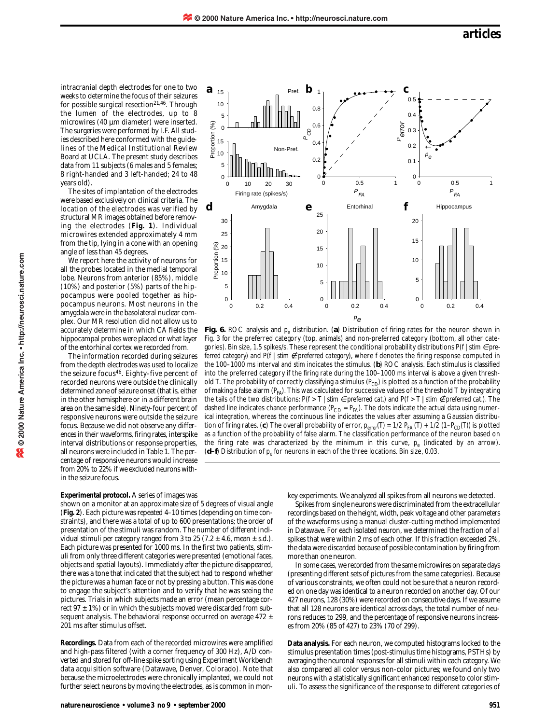intracranial depth electrodes for one to two weeks to determine the focus of their seizures for possible surgical resection<sup>21,46</sup>. Through the lumen of the electrodes, up to 8 microwires (40 µm diameter) were inserted. The surgeries were performed by I.F. All studies described here conformed with the guidelines of the Medical Institutional Review Board at UCLA. The present study describes data from 11 subjects (6 males and 5 females; 8 right-handed and 3 left-handed; 24 to 48 years old).

The sites of implantation of the electrodes were based exclusively on clinical criteria. The location of the electrodes was verified by structural MR images obtained before removing the electrodes (**Fig. 1**). Individual microwires extended approximately 4 mm from the tip, lying in a cone with an opening angle of less than 45 degrees.

We report here the activity of neurons for all the probes located in the medial temporal lobe. Neurons from anterior (85%), middle (10%) and posterior (5%) parts of the hippocampus were pooled together as hippocampus neurons. Most neurons in the amygdala were in the basolateral nuclear complex. Our MR resolution did not allow us to accurately determine in which CA fields the hippocampal probes were placed or what layer of the entorhinal cortex we recorded from.

The information recorded during seizures from the depth electrodes was used to localize the seizure focus46. Eighty-five percent of recorded neurons were outside the clinically determined zone of seizure onset (that is, either in the other hemisphere or in a different brain area on the same side). Ninety-four percent of responsive neurons were outside the seizure focus. Because we did not observe any differences in their waveforms, firing rates, interspike interval distributions or response properties, all neurons were included in Table 1. The percentage of responsive neurons would increase from 20% to 22% if we excluded neurons within the seizure focus.

#### **Experimental protocol.** A series of images was

shown on a monitor at an approximate size of 5 degrees of visual angle (**Fig. 2**). Each picture was repeated 4–10 times (depending on time constraints), and there was a total of up to 600 presentations; the order of presentation of the stimuli was random. The number of different individual stimuli per category ranged from 3 to 25 (7.2  $\pm$  4.6, mean  $\pm$  s.d.). Each picture was presented for 1000 ms. In the first two patients, stimuli from only three different categories were presented (emotional faces, objects and spatial layouts). Immediately after the picture disappeared, there was a tone that indicated that the subject had to respond whether the picture was a human face or not by pressing a button. This was done to engage the subject's attention and to verify that he was seeing the pictures. Trials in which subjects made an error (mean percentage correct  $97 \pm 1\%$ ) or in which the subjects moved were discarded from subsequent analysis. The behavioral response occurred on average 472  $\pm$ 201 ms after stimulus offset.

**Recordings.** Data from each of the recorded microwires were amplified and high-pass filtered (with a corner frequency of 300 Hz), A/D converted and stored for off-line spike sorting using Experiment Workbench data acquisition software (Datawave, Denver, Colorado). Note that because the microelectrodes were chronically implanted, we could not further select neurons by moving the electrodes, as is common in mon-



**Fig. 6.** ROC analysis and  $p_e$  distribution. (a) Distribution of firing rates for the neuron shown in Fig. 3 for the preferred category (top, animals) and non-preferred category (bottom, all other categories). Bin size, 1.5 spikes/s. These represent the conditional probability distributions  $P(f | \text{stim } \in pre$ *ferred category*) and P(*f* | *stim ∉ preferred category*), where *f* denotes the firing response computed in the 100–1000 ms interval and *stim* indicates the stimulus. (**b**) ROC analysis. Each stimulus is classified into the preferred category if the firing rate during the 100–1000 ms interval is above a given threshold *T*. The probability of correctly classifying a stimulus ( $P_{CD}$ ) is plotted as a function of the probability of making a false alarm (*PFA*). This was calculated for successive values of the threshold T by integrating the tails of the two distributions:  $P(f > T | \text{stim} \in \text{perferred cat})$  and  $P(f > T | \text{stim} \notin \text{perferred cat})$ . The dashed line indicates chance performance  $(P_{CD} = P_{FA})$ . The dots indicate the actual data using numerical integration, whereas the continuous line indicates the values after assuming a Gaussian distribution of firing rates. (c) The overall probability of error,  $p_{error}(T) = 1/2 P_{FA}(T) + 1/2 (1-P_{CD}(T))$  is plotted as a function of the probability of false alarm. The classification performance of the neuron based on the firing rate was characterized by the minimum in this curve,  $p_e$  (indicated by an arrow). (d-f) Distribution of  $p_e$  for neurons in each of the three locations. Bin size, 0.03.

key experiments. We analyzed all spikes from all neurons we detected.

Spikes from single neurons were discriminated from the extracellular recordings based on the height, width, peak voltage and other parameters of the waveforms using a manual cluster-cutting method implemented in Datawave. For each isolated neuron, we determined the fraction of all spikes that were within 2 ms of each other. If this fraction exceeded 2%, the data were discarded because of possible contamination by firing from more than one neuron.

In some cases, we recorded from the same microwires on separate days (presenting different sets of pictures from the same categories). Because of various constraints, we often could not be sure that a neuron recorded on one day was identical to a neuron recorded on another day. Of our 427 neurons, 128 (30%) were recorded on consecutive days. If we assume that all 128 neurons are identical across days, the total number of neurons reduces to 299, and the percentage of responsive neurons increases from 20% (85 of 427) to 23% (70 of 299).

**Data analysis.** For each neuron, we computed histograms locked to the stimulus presentation times (post-stimulus time histograms, PSTHs) by averaging the neuronal responses for all stimuli within each category. We also compared all color versus non-color pictures; we found only two neurons with a statistically significant enhanced response to color stimuli. To assess the significance of the response to different categories of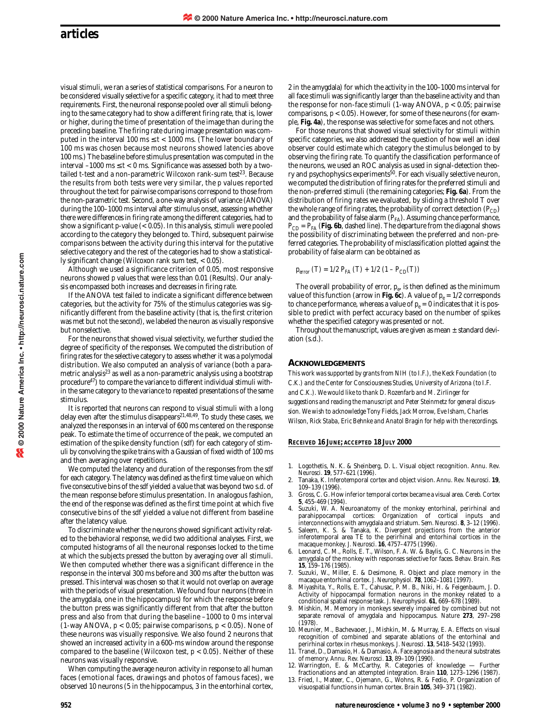visual stimuli, we ran a series of statistical comparisons. For a neuron to be considered visually selective for a specific category, it had to meet three requirements. First, the neuronal response pooled over all stimuli belonging to the same category had to show a different firing rate, that is, lower or higher, during the time of presentation of the image than during the preceding baseline. The firing rate during image presentation was computed in the interval 100 ms  $\leq t < 1000$  ms. (The lower boundary of 100 ms was chosen because most neurons showed latencies above 100 ms.) The baseline before stimulus presentation was computed in the interval  $-1000 \text{ ms} \le t < 0 \text{ ms}$ . Significance was assessed both by a twotailed *t*-test and a non-parametric Wilcoxon rank-sum test<sup>23</sup>. Because the results from both tests were very similar, the *p* values reported throughout the text for pairwise comparisons correspond to those from the non-parametric test. Second, a one-way analysis of variance (ANOVA) during the 100–1000 ms interval after stimulus onset, assessing whether there were differences in firing rate among the different categories, had to show a significant *p*-value (< 0.05). In this analysis, stimuli were pooled according to the category they belonged to. Third, subsequent pairwise comparisons between the activity during this interval for the putative selective category and the rest of the categories had to show a statistically significant change (Wilcoxon rank sum test, < 0.05).

Although we used a significance criterion of 0.05, most responsive neurons showed *p* values that were less than 0.01 (Results). Our analysis encompassed both increases and decreases in firing rate.

If the ANOVA test failed to indicate a significant difference between categories, but the activity for 75% of the stimulus categories was significantly different from the baseline activity (that is, the first criterion was met but not the second), we labeled the neuron as visually responsive but nonselective.

For the neurons that showed visual selectivity, we further studied the degree of specificity of the responses. We computed the distribution of firing rates for the selective category to assess whether it was a polymodal distribution. We also computed an analysis of variance (both a parametric analysis<sup>23</sup> as well as a non-parametric analysis using a bootstrap procedure47) to compare the variance to different individual stimuli within the same category to the variance to repeated presentations of the same stimulus.

It is reported that neurons can respond to visual stimuli with a long delay even after the stimulus disappears<sup>21,48,49</sup>. To study these cases, we analyzed the responses in an interval of 600 ms centered on the response peak. To estimate the time of occurrence of the peak, we computed an estimation of the spike density function (*sdf*) for each category of stimuli by convolving the spike trains with a Gaussian of fixed width of 100 ms and then averaging over repetitions.

We computed the latency and duration of the responses from the *sdf* for each category. The latency was defined as the first time value on which five consecutive bins of the *sdf* yielded a value that was beyond two s.d. of the mean response before stimulus presentation. In analogous fashion, the end of the response was defined as the first time point at which five consecutive bins of the *sdf* yielded a value not different from baseline after the latency value.

To discriminate whether the neurons showed significant activity related to the behavioral response, we did two additional analyses. First, we computed histograms of all the neuronal responses locked to the time at which the subjects pressed the button by averaging over all stimuli. We then computed whether there was a significant difference in the response in the interval 300 ms before and 300 ms after the button was pressed. This interval was chosen so that it would not overlap on average with the periods of visual presentation. We found four neurons (three in the amygdala, one in the hippocampus) for which the response before the button press was significantly different from that after the button press and also from that during the baseline –1000 to 0 ms interval (1-way ANOVA, *p* < 0.05; pairwise comparisons, *p* < 0.05). None of these neurons was visually responsive. We also found 2 neurons that showed an increased activity in a 600-ms window around the response compared to the baseline (Wilcoxon test, *p* < 0.05). Neither of these neurons was visually responsive.

When computing the average neuron activity in response to all human faces (emotional faces, drawings and photos of famous faces), we observed 10 neurons (5 in the hippocampus, 3 in the entorhinal cortex,

2 in the amygdala) for which the activity in the 100–1000 ms interval for all face stimuli was significantly larger than the baseline activity and than the response for non-face stimuli (1-way ANOVA, *p* < 0.05; pairwise comparisons,  $p < 0.05$ ). However, for some of these neurons (for example, **Fig. 4a**), the response was selective for some faces and not others.

For those neurons that showed visual selectivity for stimuli within specific categories, we also addressed the question of how well an ideal observer could estimate which category the stimulus belonged to by observing the firing rate. To quantify the classification performance of the neurons, we used an ROC analysis as used in signal-detection theory and psychophysics experiments50. For each visually selective neuron, we computed the distribution of firing rates for the preferred stimuli and the non-preferred stimuli (the remaining categories; **Fig. 6a**). From the distribution of firing rates we evaluated, by sliding a threshold T over the whole range of firing rates, the probability of correct detection  $(P_{CD})$ and the probability of false alarm  $(P_{FA})$ . Assuming chance performance,  $P_{CD} = P_{FA}$  (Fig. 6b, dashed line). The departure from the diagonal shows the possibility of discriminating between the preferred and non-preferred categories. The probability of misclassification plotted against the probability of false alarm can be obtained as

$$
p_{error}(T) = 1/2 P_{FA}(T) + 1/2 (1 - P_{CD}(T))
$$

The overall probability of error,  $p_e$ , is then defined as the minimum value of this function (arrow in **Fig. 6c**). A value of  $p_e = 1/2$  corresponds to chance performance, whereas a value of  $p_e = 0$  indicates that it is possible to predict with perfect accuracy based on the number of spikes whether the specified category was presented or not.

Throughout the manuscript, values are given as mean  $\pm$  standard deviation (s.d.).

#### **ACKNOWLEDGEMENTS**

*This work was supported by grants from NIH (to I.F.), the Keck Foundation (to C.K.) and the Center for Consciousness Studies, University of Arizona (to I.F. and C.K.). We would like to thank D. Rozenfarb and M. Zirlinger for suggestions and reading the manuscript and Peter Steinmetz for general discussion. We wish to acknowledge Tony Fields, Jack Morrow, Eve Isham, Charles Wilson, Rick Staba, Eric Behnke and Anatol Bragin for help with the recordings.*

## **RECEIVED 16 JUNE; ACCEPTED 18 JULY 2000**

- 1. Logothetis, N. K. & Sheinberg, D. L. Visual object recognition. *Annu. Rev. Neurosci.* **19**, 577–621 (1996).
- 2. Tanaka, K. Inferotemporal cortex and object vision. *Annu. Rev. Neurosci.* **19**, 109–139 (1996).
- 3. Gross, C. G. How inferior temporal cortex became a visual area. *Cereb. Cortex* **5**, 455-469 (1994).
- 4. Suzuki, W. A. Neuroanatomy of the monkey entorhinal, perirhinal and parahippocampal cortices: Organization of cortical inputs and interconnections with amygdala and striatum. *Sem. Neurosci.* **8**, 3–12 (1996).
- 5. Saleem, K. S. & Tanaka, K. Divergent projections from the anterior inferotemporal area TE to the perirhinal and entorhinal cortices in the macaque monkey. *J. Neurosci.* **16**, 4757–4775 (1996).
- Leonard, C. M., Rolls, E. T., Wilson, F. A. W. & Baylis, G. C. Neurons in the amygdala of the monkey with responses selective for faces. *Behav. Brain. Res* **15**, 159–176 (1985).
- 7. Suzuki, W., Miller, E. & Desimone, R. Object and place memory in the macaque entorhinal cortex. *J. Neurophysiol.* **78**, 1062–1081 (1997). 8. Miyashita, Y., Rolls, E. T., Cahusac, P. M. B., Niki, H. & Feigenbaum, J. D.
- Activity of hippocampal formation neurons in the monkey related to a conditional spatial response task. *J. Neurophysiol.* **61**, 669–678 (1989).
- 9. Mishkin, M. Memory in monkeys severely impaired by combined but not separate removal of amygdala and hippocampus. *Nature* **273**, 297–298 (1978).
- 10. Meunier, M., Bachevaoer, J., Mishkin, M. & Murray, E. A. Effects on visual recognition of combined and separate ablations of the entorhinal and perirhinal cortex in rhesus monkeys. *J. Neurosci.* **13**, 5418–5432 (1993).
- 11. Tranel, D., Damasio, H. & Damasio, A. Face agnosia and the neural substrates of memory. *Annu. Rev. Neurosci.* **13**, 89–109 (1990).
- 12. Warrington, E. & McCarthy, R. Categories of knowledge Further fractionations and an attempted integration. *Brain* **110**, 1273–1296 (1987). 13. Fried, I., Mateer, C., Ojemann, G., Wohns, R. & Fedio, P. Organization of
- visuospatial functions in human cortex. *Brain* **105**, 349–371 (1982).